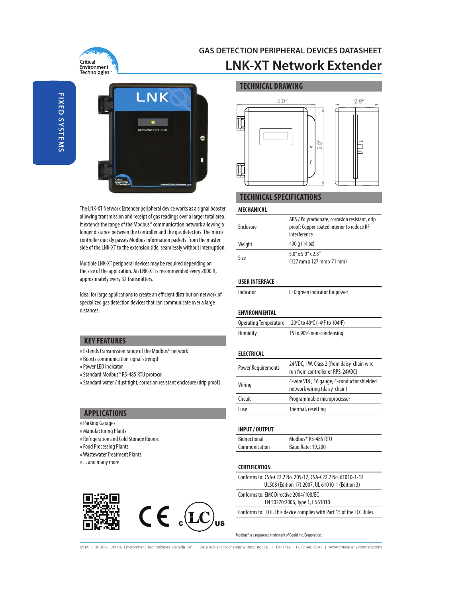

### **GAS DETECTION PERIPHERAL DEVICES DATASHEET LNK-XT Network Extender**

**TECHNICAL DRAWING**

**FIXED SYSTEMS FIXED SYSTEMS**



The LNK-XT Network Extender peripheral device works as a signal booster allowing transmission and receipt of gas readings over a larger total area. It extends the range of the Modbus® communication network allowing a longer distance between the Controller and the gas detectors. The micro controller quickly passes Modbus information packets from the master side of the LNK-XT to the extension side, seamlessly without interruption.

Multiple LNK-XT peripheral devices may be required depending on the size of the application. An LNK-XT is recommended every 2000 ft, approximately every 32 transmitters.

Ideal for large applications to create an efficient distribution network of specialized gas detection devices that can communicate over a large distances.

## $5.0''$  $2.8''$  $\mathbb I$  $\circ$  $\hfill \square$ ℿ

#### **TECHNICAL SPECIFICATIONS**

#### **MECHANICAL**

| Enclosure | ABS / Polycarbonate, corrosion resistant, drip<br>proof; Copper coated interior to reduce RF<br>interference. |
|-----------|---------------------------------------------------------------------------------------------------------------|
| Weight    | 400 g (14 oz)                                                                                                 |
| Size      | $5.0''$ x $5.0''$ x $2.8''$<br>$(127 \, \text{mm} \times 127 \, \text{mm} \times 71 \, \text{mm})$            |

#### **USER INTERFACE**

| Indicator | LED green indicator for power |
|-----------|-------------------------------|
|-----------|-------------------------------|

#### **ENVIRONMENTAL**

|          | Operating Temperature -20°C to 40°C (-4°F to 104°F) |
|----------|-----------------------------------------------------|
| Humidity | 15 to 90% non-condensing                            |

#### **ELECTRICAL**

| <b>Power Requirements</b> | 24 VDC, 1W, Class 2 (from daisy-chain wire<br>run from controller or RPS-24VDC) |
|---------------------------|---------------------------------------------------------------------------------|
| Wiring                    | 4-wire VDC, 16 gauge, 4-conductor shielded<br>network wiring (daisy-chain)      |
| Circuit                   | Programmable microprocessor                                                     |
| Fuse                      | Thermal, resetting                                                              |

#### **INPUT / OUTPUT**

| Bidirectional | Modbus® RS-485 RTU |
|---------------|--------------------|
| Communication | Baud Rate: 19,200  |

#### **CERTIFICATION**

Conforms to: CSA-C22.2 No. 205-12, CSA-C22.2 No. 61010-1-12 UL508 (Edition 17):2007, UL 61010-1 (Edition 3)

Conforms to: EMC Directive 2004/108/EC

EN 50270:2006, Type 1, EN61010

Conforms to: FCC. This device complies with Part 15 of the FCC Rules.

Modbus® is a registered trademark of Gould Inc. Corporation.

0514 | © 2021 Critical Environment Technologies Canada Inc. | Data subject to change without notice. | Toll Free: +1.877.940.8741 | www.critical-environment.com

#### **KEY FEATURES**

- » Extends transmission range of the Modbus® network
- » Boosts communication signal strength
- » Power LED indicator
- » Standard Modbus® RS-485 RTU protocol
- » Standard water / dust tight, corrosion resistant enclosure (drip proof)

#### **APPLICATIONS**

- » Parking Garages
- » Manufacturing Plants
- » Refrigeration and Cold Storage Rooms
- » Food Processing Plants
- » Wastewater Treatment Plants
- » ... and many more